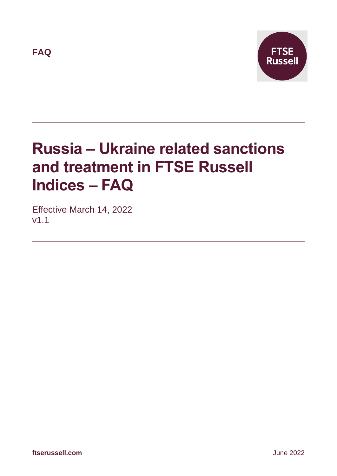**FAQ**



# **Russia – Ukraine related sanctions and treatment in FTSE Russell Indices – FAQ**

Effective March 14, 2022 v1.1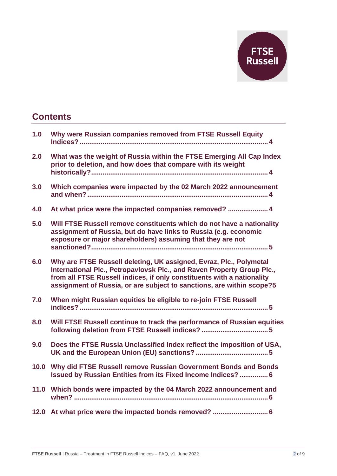

### **Contents**

| 1.0  | Why were Russian companies removed from FTSE Russell Equity                                                                                                                                                                                                                                     |
|------|-------------------------------------------------------------------------------------------------------------------------------------------------------------------------------------------------------------------------------------------------------------------------------------------------|
| 2.0  | What was the weight of Russia within the FTSE Emerging All Cap Index<br>prior to deletion, and how does that compare with its weight                                                                                                                                                            |
| 3.0  | Which companies were impacted by the 02 March 2022 announcement                                                                                                                                                                                                                                 |
| 4.0  | At what price were the impacted companies removed? 4                                                                                                                                                                                                                                            |
| 5.0  | Will FTSE Russell remove constituents which do not have a nationality<br>assignment of Russia, but do have links to Russia (e.g. economic<br>exposure or major shareholders) assuming that they are not                                                                                         |
| 6.0  | Why are FTSE Russell deleting, UK assigned, Evraz, Plc., Polymetal<br>International Plc., Petropavlovsk Plc., and Raven Property Group Plc.,<br>from all FTSE Russell indices, if only constituents with a nationality<br>assignment of Russia, or are subject to sanctions, are within scope?5 |
| 7.0  | When might Russian equities be eligible to re-join FTSE Russell                                                                                                                                                                                                                                 |
| 8.0  | Will FTSE Russell continue to track the performance of Russian equities                                                                                                                                                                                                                         |
| 9.0  | Does the FTSE Russia Unclassified Index reflect the imposition of USA,                                                                                                                                                                                                                          |
| 10.0 | Why did FTSE Russell remove Russian Government Bonds and Bonds<br><b>Issued by Russian Entities from its Fixed Income Indices? 6</b>                                                                                                                                                            |
|      | 11.0 Which bonds were impacted by the 04 March 2022 announcement and                                                                                                                                                                                                                            |
|      | 12.0 At what price were the impacted bonds removed?  6                                                                                                                                                                                                                                          |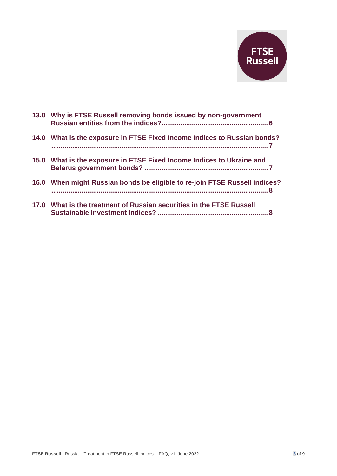

| 13.0 Why is FTSE Russell removing bonds issued by non-government           |
|----------------------------------------------------------------------------|
| 14.0 What is the exposure in FTSE Fixed Income Indices to Russian bonds?   |
| 15.0 What is the exposure in FTSE Fixed Income Indices to Ukraine and      |
| 16.0 When might Russian bonds be eligible to re-join FTSE Russell indices? |
| 17.0 What is the treatment of Russian securities in the FTSE Russell       |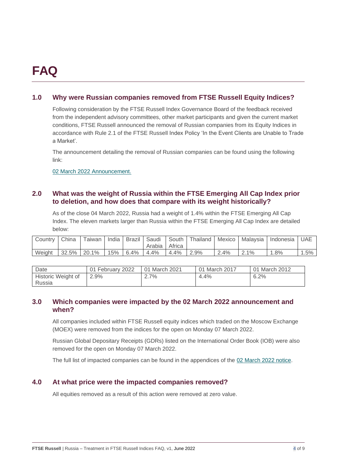## **FAQ**

#### **1.0 Why were Russian companies removed from FTSE Russell Equity Indices?**

Following consideration by the FTSE Russell Index Governance Board of the feedback received from the independent advisory committees, other market participants and given the current market conditions, FTSE Russell announced the removal of Russian companies from its Equity Indices in accordance with Rule 2.1 of the FTSE Russell Index Policy 'In the Event Clients are Unable to Trade a Market'.

The announcement detailing the removal of Russian companies can be found using the following link:

02 March 2022 [Announcement.](https://research.ftserussell.com/products/index-notices/home/getnotice/?id=2603553)

#### **2.0 What was the weight of Russia within the FTSE Emerging All Cap Index prior to deletion, and how does that compare with its weight historically?**

As of the close 04 March 2022, Russia had a weight of 1.4% within the FTSE Emerging All Cap Index. The eleven markets larger than Russia within the FTSE Emerging All Cap Index are detailed below:

| Country | China | Taiwan I | India I | Brazil  | Saudi  | South I | Thailand | Mexico | Malavsia | Indonesia | UAE |
|---------|-------|----------|---------|---------|--------|---------|----------|--------|----------|-----------|-----|
|         |       |          |         |         | Arabia | Africa  |          |        |          |           |     |
| Weight  | 32.5% | 20.1%    | 15%     | $6.4\%$ | 4.4%   | 4.4%    | $2.9\%$  | 2.4%   | 2.1%     | $.8\%$    | .5% |

| Date               | 01 February 2022 | 01 March 2021 | 01 March 2017 | 01 March 2012 |
|--------------------|------------------|---------------|---------------|---------------|
| Historic Weight of | 2.9%             | 2.7%          | 4.4%          | 6.2%          |
| Russia             |                  |               |               |               |

#### **3.0 Which companies were impacted by the 02 March 2022 announcement and when?**

All companies included within FTSE Russell equity indices which traded on the Moscow Exchange (MOEX) were removed from the indices for the open on Monday 07 March 2022.

Russian Global Depositary Receipts (GDRs) listed on the International Order Book (IOB) were also removed for the open on Monday 07 March 2022.

The full list of impacted companies can be found in the appendices of the [02 March 2022 notice.](https://research.ftserussell.com/products/index-notices/home/getnotice/?id=2603553)

#### **4.0 At what price were the impacted companies removed?**

All equities removed as a result of this action were removed at zero value.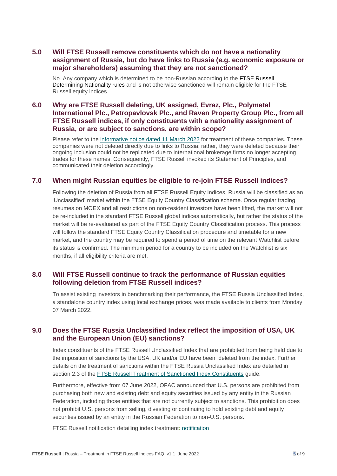#### **5.0 Will FTSE Russell remove constituents which do not have a nationality assignment of Russia, but do have links to Russia (e.g. economic exposure or major shareholders) assuming that they are not sanctioned?**

No. Any company which is determined to be non-Russian according to the [FTSE Russell](https://research.ftserussell.com/products/downloads/Determining_Nationality.pdf)  [Determining Nationality rules](https://research.ftserussell.com/products/downloads/Determining_Nationality.pdf) and is not otherwise sanctioned will remain eligible for the FTSE Russell equity indices.

#### **6.0 Why are FTSE Russell deleting, UK assigned, Evraz, Plc., Polymetal International Plc., Petropavlovsk Plc., and Raven Property Group Plc., from all FTSE Russell indices, if only constituents with a nationality assignment of Russia, or are subject to sanctions, are within scope?**

Please refer to the [informative notice dated 11 March 2022](https://research.ftserussell.com/products/index-notices/home/getnotice/?id=2603670) for treatment of these companies. These companies were not deleted directly due to links to Russia; rather, they were deleted because their ongoing inclusion could not be replicated due to international brokerage firms no longer accepting trades for these names. Consequently, FTSE Russell invoked its Statement of Principles, and communicated their deletion accordingly.

#### **7.0 When might Russian equities be eligible to re-join FTSE Russell indices?**

Following the deletion of Russia from all FTSE Russell Equity Indices, Russia will be classified as an 'Unclassified' market within the FTSE Equity Country Classification scheme. Once regular trading resumes on MOEX and all restrictions on non-resident investors have been lifted, the market will not be re-included in the standard FTSE Russell global indices automatically, but rather the status of the market will be re-evaluated as part of the FTSE Equity Country Classification process. This process will follow the standard FTSE Equity Country Classification procedure and timetable for a new market, and the country may be required to spend a period of time on the relevant Watchlist before its status is confirmed. The minimum period for a country to be included on the Watchlist is six months, if all eligibility criteria are met.

#### **8.0 Will FTSE Russell continue to track the performance of Russian equities following deletion from FTSE Russell indices?**

To assist existing investors in benchmarking their performance, the FTSE Russia Unclassified Index, a standalone country index using local exchange prices, was made available to clients from Monday 07 March 2022.

#### **9.0 Does the FTSE Russia Unclassified Index reflect the imposition of USA, UK and the European Union (EU) sanctions?**

Index constituents of the FTSE Russell Unclassified Index that are prohibited from being held due to the imposition of sanctions by the USA, UK and/or EU have been deleted from the index. Further details on the treatment of sanctions within the FTSE Russia Unclassified Index are detailed in section 2.3 of the [FTSE Russell Treatment of Sanctioned Index Constituents](https://research.ftserussell.com/products/downloads/FTSE_Russell_Treatment_of_Sanctioned_Index_Constituents.pdf) guide.

Furthermore, effective from 07 June 2022, OFAC announced that U.S. persons are prohibited from purchasing both new and existing debt and equity securities issued by any entity in the Russian Federation, including those entities that are not currently subject to sanctions. This prohibition does not prohibit U.S. persons from selling, divesting or continuing to hold existing debt and equity securities issued by an entity in the Russian Federation to non-U.S. persons.

FTSE Russell notification detailing index treatment: [notification](https://research.ftserussell.com/products/index-notices/home/getnotice/?id=2604621)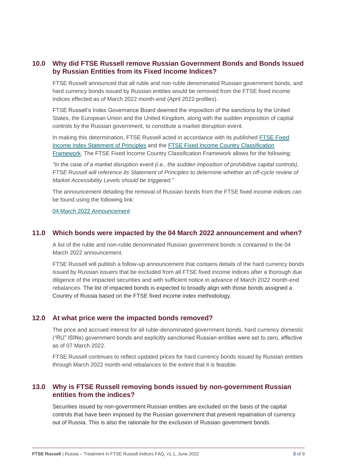#### **10.0 Why did FTSE Russell remove Russian Government Bonds and Bonds Issued by Russian Entities from its Fixed Income Indices?**

FTSE Russell announced that all ruble and non-ruble denominated Russian government bonds, and hard currency bonds issued by Russian entities would be removed from the FTSE fixed income indices effected as of March 2022 month-end (April 2022 profiles).

FTSE Russell's Index Governance Board deemed the imposition of the sanctions by the United States, the European Union and the United Kingdom, along with the sudden imposition of capital controls by the Russian government, to constitute a market disruption event.

In making this determination, FTSE Russell acted in accordance with its published [FTSE Fixed](https://research.ftserussell.com/products/downloads/Statement_of_Principles_Fixed_Income_Indexes.pdf)  [Income Index Statement of Principles](https://research.ftserussell.com/products/downloads/Statement_of_Principles_Fixed_Income_Indexes.pdf) and the [FTSE Fixed Income Country Classification](https://research.ftserussell.com/products/downloads/ftse_fixed_income_country_classification_process.pdf)  [Framework.](https://research.ftserussell.com/products/downloads/ftse_fixed_income_country_classification_process.pdf) The FTSE Fixed Income Country Classification Framework allows for the following:

*"In the case of a market disruption event (i.e., the sudden imposition of prohibitive capital controls), FTSE Russell will reference its Statement of Principles to determine whether an off-cycle review of Market Accessibility Levels should be triggered."*

The announcement detailing the removal of Russian bonds from the FTSE fixed income indices can be found using the following link:

[04 March 2022 Announcement](https://research.ftserussell.com/products/index-notices/home/getnotice/?id=2603615)

#### **11.0 Which bonds were impacted by the 04 March 2022 announcement and when?**

A list of the ruble and non-ruble denominated Russian government bonds is contained in the 04 March 2022 announcement.

FTSE Russell will publish a follow-up announcement that contains details of the hard currency bonds issued by Russian issuers that be excluded from all FTSE fixed income indices after a thorough due diligence of the impacted securities and with sufficient notice in advance of March 2022 month-end rebalances. The list of impacted bonds is expected to broadly align with those bonds assigned a Country of Russia based on the FTSE fixed income index methodology.

#### **12.0 At what price were the impacted bonds removed?**

The price and accrued interest for all ruble-denominated government bonds, hard currency domestic ("RU" ISINs) government bonds and explicitly sanctioned Russian entities were set to zero, effective as of 07 March 2022.

FTSE Russell continues to reflect updated prices for hard currency bonds issued by Russian entities through March 2022 month-end rebalances to the extent that it is feasible.

#### **13.0 Why is FTSE Russell removing bonds issued by non-government Russian entities from the indices?**

Securities issued by non-government Russian entities are excluded on the basis of the capital controls that have been imposed by the Russian government that prevent repatriation of currency out of Russia. This is also the rationale for the exclusion of Russian government bonds.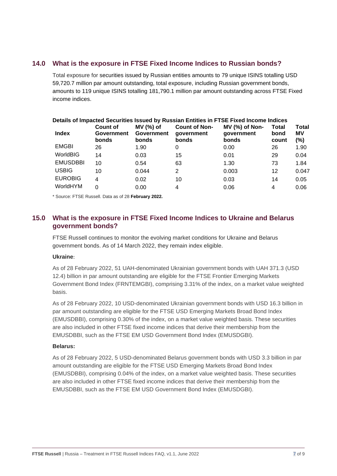#### **14.0 What is the exposure in FTSE Fixed Income Indices to Russian bonds?**

Total exposure for securities issued by Russian entities amounts to 79 unique ISINS totalling USD 59,720.7 million par amount outstanding, total exposure, including Russian government bonds, amounts to 119 unique ISINS totalling 181,790.1 million par amount outstanding across FTSE Fixed income indices.

|                 |                                        |                                         |                                             | Details of Impacted Securities Issued by Russian Entities in FTSE Fixed Income Indices |                        |                           |
|-----------------|----------------------------------------|-----------------------------------------|---------------------------------------------|----------------------------------------------------------------------------------------|------------------------|---------------------------|
| <b>Index</b>    | <b>Count of</b><br>Government<br>bonds | MV (%) of<br><b>Government</b><br>bonds | <b>Count of Non-</b><br>qovernment<br>bonds | MV (%) of Non-<br>qovernment<br>bonds                                                  | Total<br>bond<br>count | <b>Total</b><br>MV<br>(%) |
| <b>EMGBI</b>    | 26                                     | 1.90                                    | 0                                           | 0.00                                                                                   | 26                     | 1.90                      |
| WorldBIG        | 14                                     | 0.03                                    | 15                                          | 0.01                                                                                   | 29                     | 0.04                      |
| <b>EMUSDBBI</b> | 10                                     | 0.54                                    | 63                                          | 1.30                                                                                   | 73                     | 1.84                      |
| <b>USBIG</b>    | 10                                     | 0.044                                   | 2                                           | 0.003                                                                                  | 12                     | 0.047                     |
| <b>EUROBIG</b>  | 4                                      | 0.02                                    | 10                                          | 0.03                                                                                   | 14                     | 0.05                      |
| WorldHYM        | 0                                      | 0.00                                    | 4                                           | 0.06                                                                                   | 4                      | 0.06                      |

\* Source: FTSE Russell. Data as of 28 **February 2022.**

#### **15.0 What is the exposure in FTSE Fixed Income Indices to Ukraine and Belarus government bonds?**

FTSE Russell continues to monitor the evolving market conditions for Ukraine and Belarus government bonds. As of 14 March 2022, they remain index eligible.

#### **Ukraine**:

As of 28 February 2022, 51 UAH-denominated Ukrainian government bonds with UAH 371.3 (USD 12.4) billion in par amount outstanding are eligible for the FTSE Frontier Emerging Markets Government Bond Index (FRNTEMGBI), comprising 3.31% of the index, on a market value weighted basis.

As of 28 February 2022, 10 USD-denominated Ukrainian government bonds with USD 16.3 billion in par amount outstanding are eligible for the FTSE USD Emerging Markets Broad Bond Index (EMUSDBBI), comprising 0.30% of the index, on a market value weighted basis. These securities are also included in other FTSE fixed income indices that derive their membership from the EMUSDBBI, such as the FTSE EM USD Government Bond Index (EMUSDGBI).

#### **Belarus:**

As of 28 February 2022, 5 USD-denominated Belarus government bonds with USD 3.3 billion in par amount outstanding are eligible for the FTSE USD Emerging Markets Broad Bond Index (EMUSDBBI), comprising 0.04% of the index, on a market value weighted basis. These securities are also included in other FTSE fixed income indices that derive their membership from the EMUSDBBI, such as the FTSE EM USD Government Bond Index (EMUSDGBI).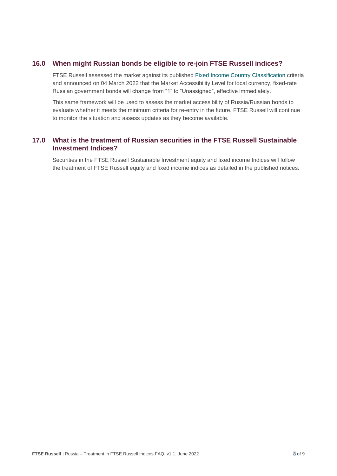#### **16.0 When might Russian bonds be eligible to re-join FTSE Russell indices?**

FTSE Russell assessed the market against its published [Fixed Income Country Classification](https://research.ftserussell.com/products/downloads/FTSE_Fixed_Income_Country_Classification_Process.pdf) criteria and announced on 04 March 2022 that the Market Accessibility Level for local currency, fixed-rate Russian government bonds will change from "1" to "Unassigned", effective immediately.

This same framework will be used to assess the market accessibility of Russia/Russian bonds to evaluate whether it meets the minimum criteria for re-entry in the future. FTSE Russell will continue to monitor the situation and assess updates as they become available.

#### **17.0 What is the treatment of Russian securities in the FTSE Russell Sustainable Investment Indices?**

Securities in the FTSE Russell Sustainable Investment equity and fixed income Indices will follow the treatment of FTSE Russell equity and fixed income indices as detailed in the published notices.